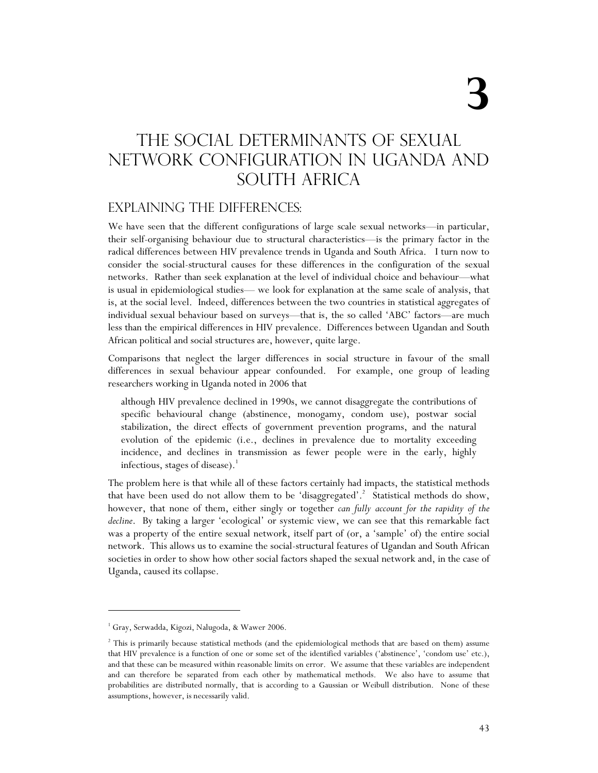# The Social determinants of Sexual Network configuration in Uganda and SOUTH AFRICA

#### Explaining the differences:

We have seen that the different configurations of large scale sexual networks—in particular, their self-organising behaviour due to structural characteristics—is the primary factor in the radical differences between HIV prevalence trends in Uganda and South Africa. I turn now to consider the social-structural causes for these differences in the configuration of the sexual networks. Rather than seek explanation at the level of individual choice and behaviour—what is usual in epidemiological studies— we look for explanation at the same scale of analysis, that is, at the social level. Indeed, differences between the two countries in statistical aggregates of individual sexual behaviour based on surveys—that is, the so called 'ABC' factors—are much less than the empirical differences in HIV prevalence. Differences between Ugandan and South African political and social structures are, however, quite large.

Comparisons that neglect the larger differences in social structure in favour of the small differences in sexual behaviour appear confounded. For example, one group of leading researchers working in Uganda noted in 2006 that

although HIV prevalence declined in 1990s, we cannot disaggregate the contributions of specific behavioural change (abstinence, monogamy, condom use), postwar social stabilization, the direct effects of government prevention programs, and the natural evolution of the epidemic (i.e., declines in prevalence due to mortality exceeding incidence, and declines in transmission as fewer people were in the early, highly infectious, stages of disease). $<sup>1</sup>$ </sup>

The problem here is that while all of these factors certainly had impacts, the statistical methods that have been used do not allow them to be 'disaggregated'.<sup>2</sup> Statistical methods do show, however, that none of them, either singly or together *can fully account for the rapidity of the decline*. By taking a larger 'ecological' or systemic view, we can see that this remarkable fact was a property of the entire sexual network, itself part of (or, a 'sample' of) the entire social network. This allows us to examine the social-structural features of Ugandan and South African societies in order to show how other social factors shaped the sexual network and, in the case of Uganda, caused its collapse.

<sup>&</sup>lt;sup>1</sup> Gray, Serwadda, Kigozi, Nalugoda, & Wawer 2006.

<sup>&</sup>lt;sup>2</sup> This is primarily because statistical methods (and the epidemiological methods that are based on them) assume that HIV prevalence is a function of one or some set of the identified variables ('abstinence', 'condom use' etc.), and that these can be measured within reasonable limits on error. We assume that these variables are independent and can therefore be separated from each other by mathematical methods. We also have to assume that probabilities are distributed normally, that is according to a Gaussian or Weibull distribution. None of these assumptions, however, is necessarily valid.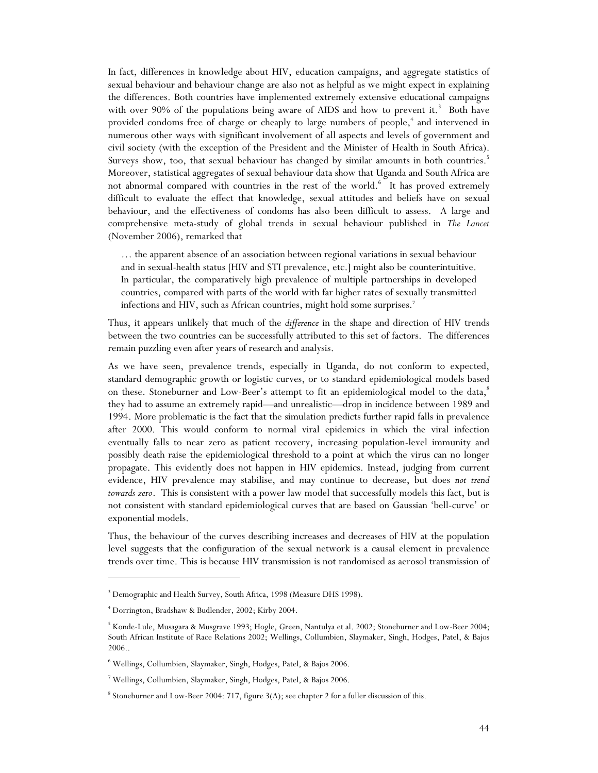In fact, differences in knowledge about HIV, education campaigns, and aggregate statistics of sexual behaviour and behaviour change are also not as helpful as we might expect in explaining the differences. Both countries have implemented extremely extensive educational campaigns with over 90% of the populations being aware of AIDS and how to prevent it.<sup>3</sup> Both have provided condoms free of charge or cheaply to large numbers of people,<sup>4</sup> and intervened in numerous other ways with significant involvement of all aspects and levels of government and civil society (with the exception of the President and the Minister of Health in South Africa). Surveys show, too, that sexual behaviour has changed by similar amounts in both countries.<sup>5</sup> Moreover, statistical aggregates of sexual behaviour data show that Uganda and South Africa are not abnormal compared with countries in the rest of the world.<sup>6</sup> It has proved extremely difficult to evaluate the effect that knowledge, sexual attitudes and beliefs have on sexual behaviour, and the effectiveness of condoms has also been difficult to assess. A large and comprehensive meta-study of global trends in sexual behaviour published in *The Lancet* (November 2006), remarked that

… the apparent absence of an association between regional variations in sexual behaviour and in sexual-health status [HIV and STI prevalence, etc.] might also be counterintuitive. In particular, the comparatively high prevalence of multiple partnerships in developed countries, compared with parts of the world with far higher rates of sexually transmitted infections and HIV, such as African countries, might hold some surprises.<sup>7</sup>

Thus, it appears unlikely that much of the *difference* in the shape and direction of HIV trends between the two countries can be successfully attributed to this set of factors. The differences remain puzzling even after years of research and analysis.

As we have seen, prevalence trends, especially in Uganda, do not conform to expected, standard demographic growth or logistic curves, or to standard epidemiological models based on these. Stoneburner and Low-Beer's attempt to fit an epidemiological model to the data,<sup>8</sup> they had to assume an extremely rapid—and unrealistic—drop in incidence between 1989 and 1994. More problematic is the fact that the simulation predicts further rapid falls in prevalence after 2000. This would conform to normal viral epidemics in which the viral infection eventually falls to near zero as patient recovery, increasing population-level immunity and possibly death raise the epidemiological threshold to a point at which the virus can no longer propagate. This evidently does not happen in HIV epidemics. Instead, judging from current evidence, HIV prevalence may stabilise, and may continue to decrease, but does *not trend towards zero*. This is consistent with a power law model that successfully models this fact, but is not consistent with standard epidemiological curves that are based on Gaussian 'bell-curve' or exponential models.

Thus, the behaviour of the curves describing increases and decreases of HIV at the population level suggests that the configuration of the sexual network is a causal element in prevalence trends over time. This is because HIV transmission is not randomised as aerosol transmission of

<sup>&</sup>lt;sup>3</sup> Demographic and Health Survey, South Africa, 1998 (Measure DHS 1998).

<sup>4</sup> Dorrington, Bradshaw & Budlender, 2002; Kirby 2004.

<sup>5</sup> Konde-Lule, Musagara & Musgrave 1993; Hogle, Green, Nantulya et al. 2002; Stoneburner and Low-Beer 2004; South African Institute of Race Relations 2002; Wellings, Collumbien, Slaymaker, Singh, Hodges, Patel, & Bajos 2006..

<sup>6</sup> Wellings, Collumbien, Slaymaker, Singh, Hodges, Patel, & Bajos 2006.

<sup>7</sup> Wellings, Collumbien, Slaymaker, Singh, Hodges, Patel, & Bajos 2006.

<sup>&</sup>lt;sup>8</sup> Stoneburner and Low-Beer 2004: 717, figure 3(A); see chapter 2 for a fuller discussion of this.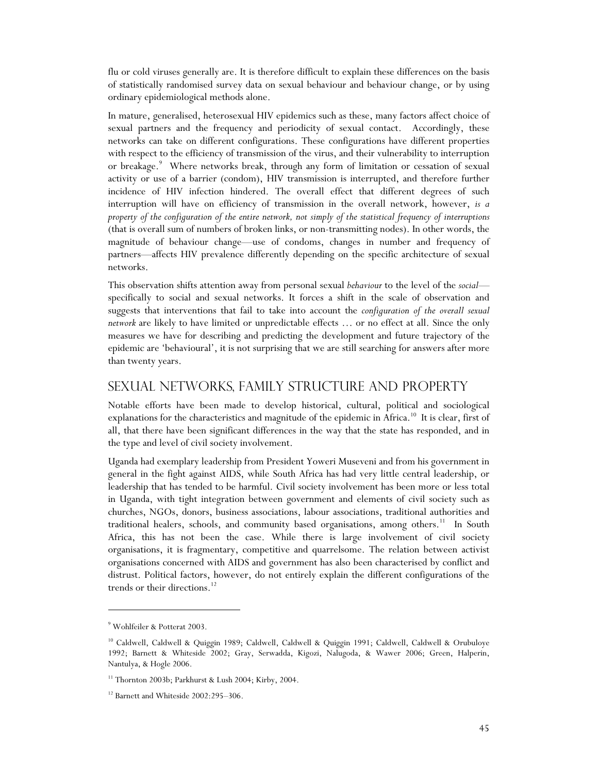flu or cold viruses generally are. It is therefore difficult to explain these differences on the basis of statistically randomised survey data on sexual behaviour and behaviour change, or by using ordinary epidemiological methods alone.

In mature, generalised, heterosexual HIV epidemics such as these, many factors affect choice of sexual partners and the frequency and periodicity of sexual contact. Accordingly, these networks can take on different configurations. These configurations have different properties with respect to the efficiency of transmission of the virus, and their vulnerability to interruption or breakage.<sup>9</sup> Where networks break, through any form of limitation or cessation of sexual activity or use of a barrier (condom), HIV transmission is interrupted, and therefore further incidence of HIV infection hindered. The overall effect that different degrees of such interruption will have on efficiency of transmission in the overall network, however, *is a property of the configuration of the entire network, not simply of the statistical frequency of interruptions* (that is overall sum of numbers of broken links, or non-transmitting nodes). In other words, the magnitude of behaviour change—use of condoms, changes in number and frequency of partners—affects HIV prevalence differently depending on the specific architecture of sexual networks.

This observation shifts attention away from personal sexual *behaviour* to the level of the *social* specifically to social and sexual networks. It forces a shift in the scale of observation and suggests that interventions that fail to take into account the *configuration of the overall sexual network* are likely to have limited or unpredictable effects … or no effect at all. Since the only measures we have for describing and predicting the development and future trajectory of the epidemic are 'behavioural', it is not surprising that we are still searching for answers after more than twenty years.

## sexual networks, family structure and property

Notable efforts have been made to develop historical, cultural, political and sociological explanations for the characteristics and magnitude of the epidemic in Africa.<sup>10</sup> It is clear, first of all, that there have been significant differences in the way that the state has responded, and in the type and level of civil society involvement.

Uganda had exemplary leadership from President Yoweri Museveni and from his government in general in the fight against AIDS, while South Africa has had very little central leadership, or leadership that has tended to be harmful. Civil society involvement has been more or less total in Uganda, with tight integration between government and elements of civil society such as churches, NGOs, donors, business associations, labour associations, traditional authorities and traditional healers, schools, and community based organisations, among others.<sup>11</sup> In South Africa, this has not been the case. While there is large involvement of civil society organisations, it is fragmentary, competitive and quarrelsome. The relation between activist organisations concerned with AIDS and government has also been characterised by conflict and distrust. Political factors, however, do not entirely explain the different configurations of the trends or their directions.<sup>12</sup>

<sup>9</sup> Wohlfeiler & Potterat 2003.

<sup>10</sup> Caldwell, Caldwell & Quiggin 1989; Caldwell, Caldwell & Quiggin 1991; Caldwell, Caldwell & Orubuloye 1992; Barnett & Whiteside 2002; Gray, Serwadda, Kigozi, Nalugoda, & Wawer 2006; Green, Halperin, Nantulya, & Hogle 2006.

<sup>&</sup>lt;sup>11</sup> Thornton 2003b; Parkhurst & Lush 2004; Kirby, 2004.

<sup>&</sup>lt;sup>12</sup> Barnett and Whiteside 2002:295-306.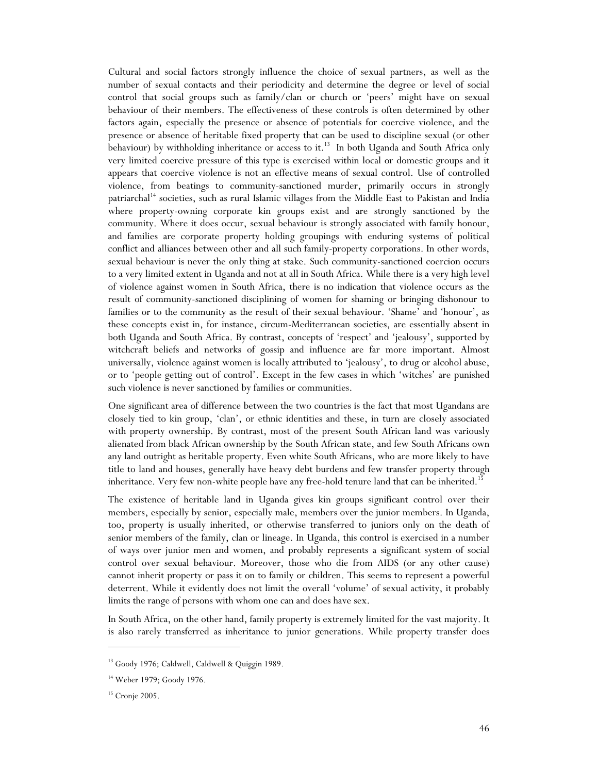Cultural and social factors strongly influence the choice of sexual partners, as well as the number of sexual contacts and their periodicity and determine the degree or level of social control that social groups such as family/clan or church or 'peers' might have on sexual behaviour of their members. The effectiveness of these controls is often determined by other factors again, especially the presence or absence of potentials for coercive violence, and the presence or absence of heritable fixed property that can be used to discipline sexual (or other behaviour) by withholding inheritance or access to it.<sup>13</sup> In both Uganda and South Africa only very limited coercive pressure of this type is exercised within local or domestic groups and it appears that coercive violence is not an effective means of sexual control. Use of controlled violence, from beatings to community-sanctioned murder, primarily occurs in strongly patriarchal<sup>14</sup> societies, such as rural Islamic villages from the Middle East to Pakistan and India where property-owning corporate kin groups exist and are strongly sanctioned by the community. Where it does occur, sexual behaviour is strongly associated with family honour, and families are corporate property holding groupings with enduring systems of political conflict and alliances between other and all such family-property corporations. In other words, sexual behaviour is never the only thing at stake. Such community-sanctioned coercion occurs to a very limited extent in Uganda and not at all in South Africa. While there is a very high level of violence against women in South Africa, there is no indication that violence occurs as the result of community-sanctioned disciplining of women for shaming or bringing dishonour to families or to the community as the result of their sexual behaviour. 'Shame' and 'honour', as these concepts exist in, for instance, circum-Mediterranean societies, are essentially absent in both Uganda and South Africa. By contrast, concepts of 'respect' and 'jealousy', supported by witchcraft beliefs and networks of gossip and influence are far more important. Almost universally, violence against women is locally attributed to 'jealousy', to drug or alcohol abuse, or to 'people getting out of control'. Except in the few cases in which 'witches' are punished such violence is never sanctioned by families or communities.

One significant area of difference between the two countries is the fact that most Ugandans are closely tied to kin group, 'clan', or ethnic identities and these, in turn are closely associated with property ownership. By contrast, most of the present South African land was variously alienated from black African ownership by the South African state, and few South Africans own any land outright as heritable property. Even white South Africans, who are more likely to have title to land and houses, generally have heavy debt burdens and few transfer property through inheritance. Very few non-white people have any free-hold tenure land that can be inherited.<sup>15</sup>

The existence of heritable land in Uganda gives kin groups significant control over their members, especially by senior, especially male, members over the junior members. In Uganda, too, property is usually inherited, or otherwise transferred to juniors only on the death of senior members of the family, clan or lineage. In Uganda, this control is exercised in a number of ways over junior men and women, and probably represents a significant system of social control over sexual behaviour. Moreover, those who die from AIDS (or any other cause) cannot inherit property or pass it on to family or children. This seems to represent a powerful deterrent. While it evidently does not limit the overall 'volume' of sexual activity, it probably limits the range of persons with whom one can and does have sex.

In South Africa, on the other hand, family property is extremely limited for the vast majority. It is also rarely transferred as inheritance to junior generations. While property transfer does

<sup>&</sup>lt;sup>13</sup> Goody 1976; Caldwell, Caldwell & Quiggin 1989.

<sup>&</sup>lt;sup>14</sup> Weber 1979; Goody 1976.

<sup>15</sup> Cronje 2005.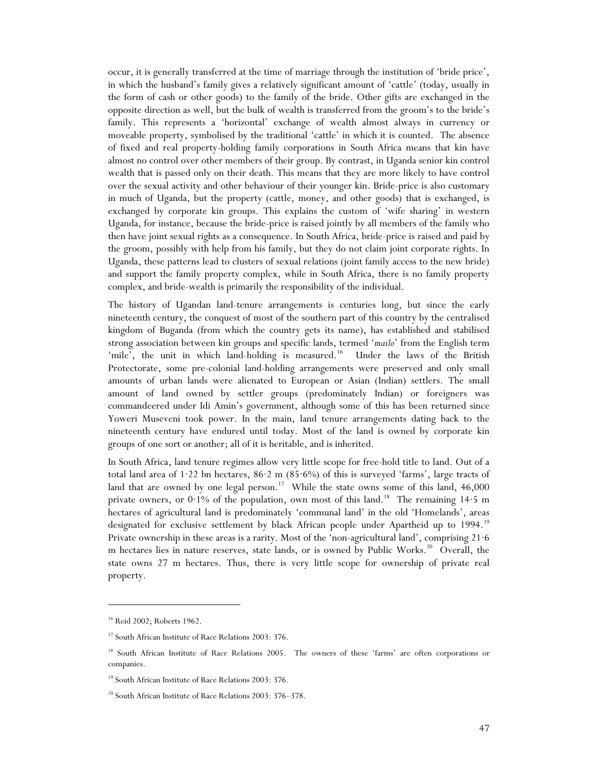occur, it is generally transferred at the time of marriage through the institution of 'bride price', in which the husband's family gives a relatively significant amount of 'cattle' (today, usually in the form of cash or other goods) to the family of the bride. Other gifts are exchanged in the opposite direction as well, but the bulk of wealth is transferred from the groom's to the bride's family. This represents a 'horizontal' exchange of wealth almost always in currency or moveable property, symbolised by the traditional 'cattle' in which it is counted. The absence of fixed and real property-holding family corporations in South Africa means that kin have almost no control over other members of their group. By contrast, in Uganda senior kin control wealth that is passed only on their death. This means that they are more likely to have control over the sexual activity and other behaviour of their younger kin. Bride-price is also customary in much of Uganda, but the property (cattle, money, and other goods) that is exchanged, is exchanged by corporate kin groups. This explains the custom of 'wife sharing' in western Uganda, for instance, because the bride-price is raised jointly by all members of the family who then have joint sexual rights as a consequence. In South Africa, bride-price is raised and paid by the groom, possibly with help from his family, but they do not claim joint corporate rights. In Uganda, these patterns lead to clusters of sexual relations (joint family access to the new bride) and support the family property complex, while in South Africa, there is no family property complex, and bride-wealth is primarily the responsibility of the individual.

The history of Ugandan land-tenure arrangements is centuries long, but since the early nineteenth century, the conquest of most of the southern part of this country by the centralised kingdom of Buganda (from which the country gets its name), has established and stabilised strong association between kin groups and specific lands, termed '*mailo*' from the English term 'mile', the unit in which land-holding is measured.<sup>16</sup> Under the laws of the British Protectorate, some pre-colonial land-holding arrangements were preserved and only small amounts of urban lands were alienated to European or Asian (Indian) settlers. The small amount of land owned by settler groups (predominately Indian) or foreigners was commandeered under Idi Amin's government, although some of this has been returned since Yoweri Museveni took power. In the main, land tenure arrangements dating back to the nineteenth century have endured until today. Most of the land is owned by corporate kin groups of one sort or another; all of it is heritable, and is inherited.

In South Africa, land tenure regimes allow very little scope for free-hold title to land. Out of a total land area of 1·22 bn hectares, 86·2 m (85·6%) of this is surveyed 'farms', large tracts of land that are owned by one legal person.<sup>17</sup> While the state owns some of this land,  $46,000$ private owners, or 0.1% of the population, own most of this land.<sup>18</sup> The remaining 14.5 m hectares of agricultural land is predominately 'communal land' in the old 'Homelands', areas designated for exclusive settlement by black African people under Apartheid up to 1994.<sup>19</sup> Private ownership in these areas is a rarity. Most of the 'non-agricultural land', comprising 21·6 m hectares lies in nature reserves, state lands, or is owned by Public Works.<sup>20</sup> Overall, the state owns 27 m hectares. Thus, there is very little scope for ownership of private real property.

<sup>16</sup> Reid 2002; Roberts 1962.

<sup>&</sup>lt;sup>17</sup> South African Institute of Race Relations 2003: 376.

<sup>18</sup> South African Institute of Race Relations 2005. The owners of these 'farms' are often corporations or companies.

<sup>19</sup> South African Institute of Race Relations 2003: 376.

<sup>&</sup>lt;sup>20</sup> South African Institute of Race Relations 2003: 376–378.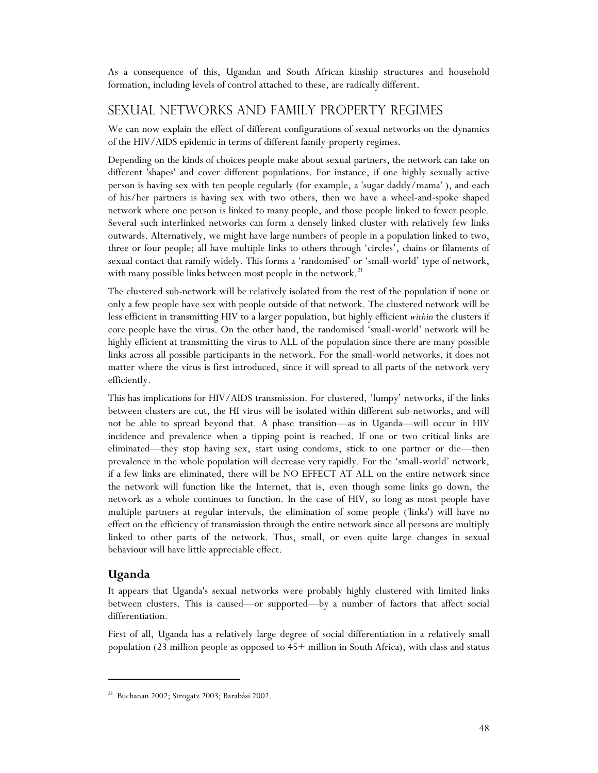As a consequence of this, Ugandan and South African kinship structures and household formation, including levels of control attached to these, are radically different.

### Sexual networks and family property regimes

We can now explain the effect of different configurations of sexual networks on the dynamics of the HIV/AIDS epidemic in terms of different family-property regimes.

Depending on the kinds of choices people make about sexual partners, the network can take on different 'shapes' and cover different populations. For instance, if one highly sexually active person is having sex with ten people regularly (for example, a 'sugar daddy/mama' ), and each of his/her partners is having sex with two others, then we have a wheel-and-spoke shaped network where one person is linked to many people, and those people linked to fewer people. Several such interlinked networks can form a densely linked cluster with relatively few links outwards. Alternatively, we might have large numbers of people in a population linked to two, three or four people; all have multiple links to others through 'circles', chains or filaments of sexual contact that ramify widely. This forms a 'randomised' or 'small-world' type of network, with many possible links between most people in the network.<sup>21</sup>

The clustered sub-network will be relatively isolated from the rest of the population if none or only a few people have sex with people outside of that network. The clustered network will be less efficient in transmitting HIV to a larger population, but highly efficient *within* the clusters if core people have the virus. On the other hand, the randomised 'small-world' network will be highly efficient at transmitting the virus to ALL of the population since there are many possible links across all possible participants in the network. For the small-world networks, it does not matter where the virus is first introduced, since it will spread to all parts of the network very efficiently.

This has implications for HIV/AIDS transmission. For clustered, 'lumpy' networks, if the links between clusters are cut, the HI virus will be isolated within different sub-networks, and will not be able to spread beyond that. A phase transition—as in Uganda—will occur in HIV incidence and prevalence when a tipping point is reached. If one or two critical links are eliminated—they stop having sex, start using condoms, stick to one partner or die—then prevalence in the whole population will decrease very rapidly. For the 'small-world' network, if a few links are eliminated, there will be NO EFFECT AT ALL on the entire network since the network will function like the Internet, that is, even though some links go down, the network as a whole continues to function. In the case of HIV, so long as most people have multiple partners at regular intervals, the elimination of some people ('links') will have no effect on the efficiency of transmission through the entire network since all persons are multiply linked to other parts of the network. Thus, small, or even quite large changes in sexual behaviour will have little appreciable effect.

#### **Uganda**

 $\overline{a}$ 

It appears that Uganda's sexual networks were probably highly clustered with limited links between clusters. This is caused—or supported—by a number of factors that affect social differentiation.

First of all, Uganda has a relatively large degree of social differentiation in a relatively small population (23 million people as opposed to 45+ million in South Africa), with class and status

<sup>21</sup> Buchanan 2002; Strogatz 2003; Barabási 2002.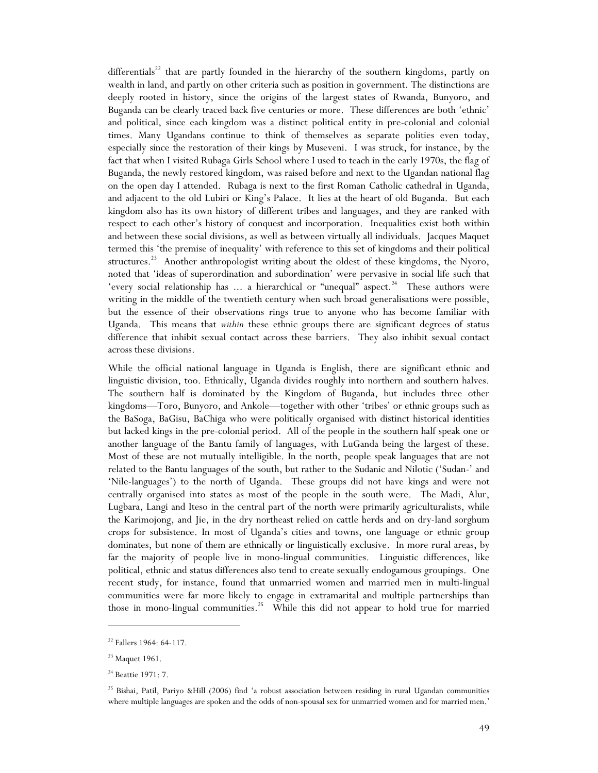differentials<sup>22</sup> that are partly founded in the hierarchy of the southern kingdoms, partly on wealth in land, and partly on other criteria such as position in government. The distinctions are deeply rooted in history, since the origins of the largest states of Rwanda, Bunyoro, and Buganda can be clearly traced back five centuries or more. These differences are both 'ethnic' and political, since each kingdom was a distinct political entity in pre-colonial and colonial times. Many Ugandans continue to think of themselves as separate polities even today, especially since the restoration of their kings by Museveni. I was struck, for instance, by the fact that when I visited Rubaga Girls School where I used to teach in the early 1970s, the flag of Buganda, the newly restored kingdom, was raised before and next to the Ugandan national flag on the open day I attended. Rubaga is next to the first Roman Catholic cathedral in Uganda, and adjacent to the old Lubiri or King's Palace. It lies at the heart of old Buganda. But each kingdom also has its own history of different tribes and languages, and they are ranked with respect to each other's history of conquest and incorporation. Inequalities exist both within and between these social divisions, as well as between virtually all individuals. Jacques Maquet termed this 'the premise of inequality' with reference to this set of kingdoms and their political structures.<sup>23</sup> Another anthropologist writing about the oldest of these kingdoms, the Nyoro, noted that 'ideas of superordination and subordination' were pervasive in social life such that 'every social relationship has ... a hierarchical or "unequal" aspect.<sup>24</sup> These authors were writing in the middle of the twentieth century when such broad generalisations were possible, but the essence of their observations rings true to anyone who has become familiar with Uganda. This means that *within* these ethnic groups there are significant degrees of status difference that inhibit sexual contact across these barriers. They also inhibit sexual contact across these divisions.

While the official national language in Uganda is English, there are significant ethnic and linguistic division, too. Ethnically, Uganda divides roughly into northern and southern halves. The southern half is dominated by the Kingdom of Buganda, but includes three other kingdoms—Toro, Bunyoro, and Ankole—together with other 'tribes' or ethnic groups such as the BaSoga, BaGisu, BaChiga who were politically organised with distinct historical identities but lacked kings in the pre-colonial period. All of the people in the southern half speak one or another language of the Bantu family of languages, with LuGanda being the largest of these. Most of these are not mutually intelligible. In the north, people speak languages that are not related to the Bantu languages of the south, but rather to the Sudanic and Nilotic ('Sudan-' and 'Nile-languages') to the north of Uganda. These groups did not have kings and were not centrally organised into states as most of the people in the south were. The Madi, Alur, Lugbara, Langi and Iteso in the central part of the north were primarily agriculturalists, while the Karimojong, and Jie, in the dry northeast relied on cattle herds and on dry-land sorghum crops for subsistence. In most of Uganda's cities and towns, one language or ethnic group dominates, but none of them are ethnically or linguistically exclusive. In more rural areas, by far the majority of people live in mono-lingual communities. Linguistic differences, like political, ethnic and status differences also tend to create sexually endogamous groupings. One recent study, for instance, found that unmarried women and married men in multi-lingual communities were far more likely to engage in extramarital and multiple partnerships than those in mono-lingual communities.<sup>25</sup> While this did not appear to hold true for married

<sup>&</sup>lt;sup>22</sup> Fallers 1964: 64-117.

<sup>&</sup>lt;sup>23</sup> Maquet 1961.

<sup>&</sup>lt;sup>24</sup> Beattie 1971: 7.

<sup>&</sup>lt;sup>25</sup> Bishai, Patil, Pariyo &Hill (2006) find 'a robust association between residing in rural Ugandan communities where multiple languages are spoken and the odds of non-spousal sex for unmarried women and for married men.'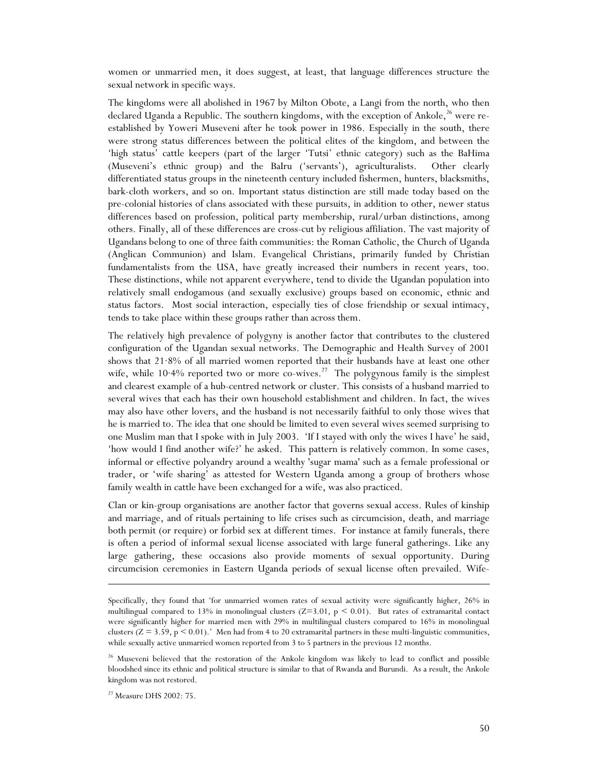women or unmarried men, it does suggest, at least, that language differences structure the sexual network in specific ways.

The kingdoms were all abolished in 1967 by Milton Obote, a Langi from the north, who then declared Uganda a Republic. The southern kingdoms, with the exception of Ankole,<sup>26</sup> were reestablished by Yoweri Museveni after he took power in 1986. Especially in the south, there were strong status differences between the political elites of the kingdom, and between the 'high status' cattle keepers (part of the larger 'Tutsi' ethnic category) such as the BaHima (Museveni's ethnic group) and the BaIru ('servants'), agriculturalists. Other clearly differentiated status groups in the nineteenth century included fishermen, hunters, blacksmiths, bark-cloth workers, and so on. Important status distinction are still made today based on the pre-colonial histories of clans associated with these pursuits, in addition to other, newer status differences based on profession, political party membership, rural/urban distinctions, among others. Finally, all of these differences are cross-cut by religious affiliation. The vast majority of Ugandans belong to one of three faith communities: the Roman Catholic, the Church of Uganda (Anglican Communion) and Islam. Evangelical Christians, primarily funded by Christian fundamentalists from the USA, have greatly increased their numbers in recent years, too. These distinctions, while not apparent everywhere, tend to divide the Ugandan population into relatively small endogamous (and sexually exclusive) groups based on economic, ethnic and status factors. Most social interaction, especially ties of close friendship or sexual intimacy, tends to take place within these groups rather than across them.

The relatively high prevalence of polygyny is another factor that contributes to the clustered configuration of the Ugandan sexual networks. The Demographic and Health Survey of 2001 shows that 21·8% of all married women reported that their husbands have at least one other wife, while  $10.4\%$  reported two or more co-wives.<sup>27</sup> The polygynous family is the simplest and clearest example of a hub-centred network or cluster. This consists of a husband married to several wives that each has their own household establishment and children. In fact, the wives may also have other lovers, and the husband is not necessarily faithful to only those wives that he is married to. The idea that one should be limited to even several wives seemed surprising to one Muslim man that I spoke with in July 2003. 'If I stayed with only the wives I have' he said, 'how would I find another wife?' he asked. This pattern is relatively common. In some cases, informal or effective polyandry around a wealthy 'sugar mama' such as a female professional or trader, or 'wife sharing' as attested for Western Uganda among a group of brothers whose family wealth in cattle have been exchanged for a wife, was also practiced.

Clan or kin-group organisations are another factor that governs sexual access. Rules of kinship and marriage, and of rituals pertaining to life crises such as circumcision, death, and marriage both permit (or require) or forbid sex at different times. For instance at family funerals, there is often a period of informal sexual license associated with large funeral gatherings. Like any large gathering, these occasions also provide moments of sexual opportunity. During circumcision ceremonies in Eastern Uganda periods of sexual license often prevailed. Wife-

Specifically, they found that 'for unmarried women rates of sexual activity were significantly higher, 26% in multilingual compared to 13% in monolingual clusters  $(Z=3.01, p \le 0.01)$ . But rates of extramarital contact were significantly higher for married men with 29% in multilingual clusters compared to 16% in monolingual clusters ( $Z = 3.59$ ,  $p \le 0.01$ ).' Men had from 4 to 20 extramarital partners in these multi-linguistic communities, while sexually active unmarried women reported from 3 to 5 partners in the previous 12 months.

<sup>&</sup>lt;sup>26</sup> Museveni believed that the restoration of the Ankole kingdom was likely to lead to conflict and possible bloodshed since its ethnic and political structure is similar to that of Rwanda and Burundi. As a result, the Ankole kingdom was not restored.

<sup>27</sup> Measure DHS 2002: 75.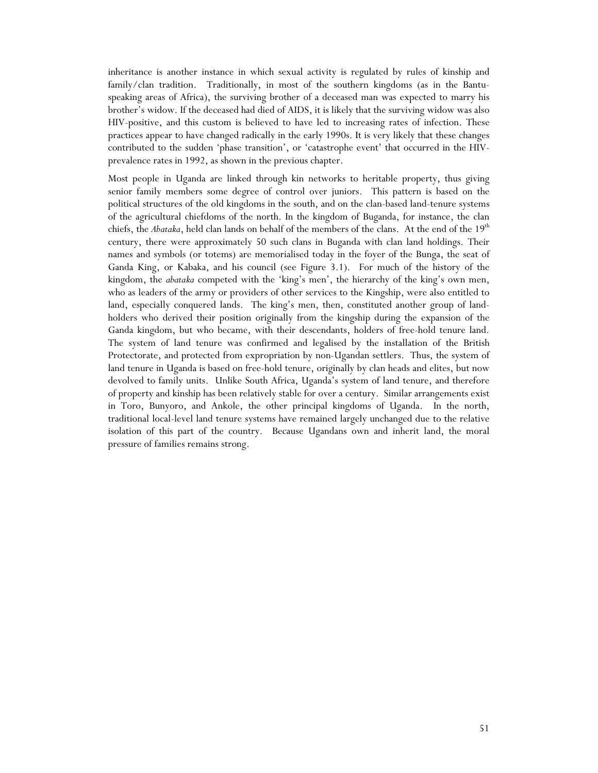inheritance is another instance in which sexual activity is regulated by rules of kinship and family/clan tradition. Traditionally, in most of the southern kingdoms (as in the Bantuspeaking areas of Africa), the surviving brother of a deceased man was expected to marry his brother's widow. If the deceased had died of AIDS, it is likely that the surviving widow was also HIV-positive, and this custom is believed to have led to increasing rates of infection. These practices appear to have changed radically in the early 1990s. It is very likely that these changes contributed to the sudden 'phase transition', or 'catastrophe event' that occurred in the HIVprevalence rates in 1992, as shown in the previous chapter.

Most people in Uganda are linked through kin networks to heritable property, thus giving senior family members some degree of control over juniors. This pattern is based on the political structures of the old kingdoms in the south, and on the clan-based land-tenure systems of the agricultural chiefdoms of the north. In the kingdom of Buganda, for instance, the clan chiefs, the *Abataka*, held clan lands on behalf of the members of the clans. At the end of the 19<sup>th</sup> century, there were approximately 50 such clans in Buganda with clan land holdings. Their names and symbols (or totems) are memorialised today in the foyer of the Bunga, the seat of Ganda King, or Kabaka, and his council (see Figure 3.1). For much of the history of the kingdom, the *abataka* competed with the 'king's men', the hierarchy of the king's own men, who as leaders of the army or providers of other services to the Kingship, were also entitled to land, especially conquered lands. The king's men, then, constituted another group of landholders who derived their position originally from the kingship during the expansion of the Ganda kingdom, but who became, with their descendants, holders of free-hold tenure land. The system of land tenure was confirmed and legalised by the installation of the British Protectorate, and protected from expropriation by non-Ugandan settlers. Thus, the system of land tenure in Uganda is based on free-hold tenure, originally by clan heads and elites, but now devolved to family units. Unlike South Africa, Uganda's system of land tenure, and therefore of property and kinship has been relatively stable for over a century. Similar arrangements exist in Toro, Bunyoro, and Ankole, the other principal kingdoms of Uganda. In the north, traditional local-level land tenure systems have remained largely unchanged due to the relative isolation of this part of the country. Because Ugandans own and inherit land, the moral pressure of families remains strong.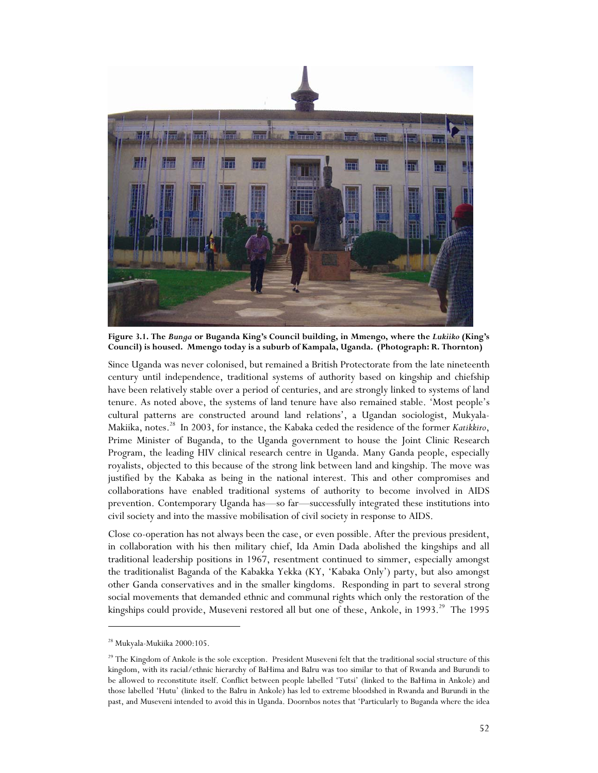

**Figure 3.1. The** *Bunga* **or Buganda King's Council building, in Mmengo, where the** *Lukiiko* **(King's Council) is housed. Mmengo today is a suburb of Kampala, Uganda. (Photograph: R. Thornton)** 

Since Uganda was never colonised, but remained a British Protectorate from the late nineteenth century until independence, traditional systems of authority based on kingship and chiefship have been relatively stable over a period of centuries, and are strongly linked to systems of land tenure. As noted above, the systems of land tenure have also remained stable. 'Most people's cultural patterns are constructed around land relations', a Ugandan sociologist, Mukyala-Makiika, notes.<sup>28</sup> In 2003, for instance, the Kabaka ceded the residence of the former *Katikkiro*, Prime Minister of Buganda, to the Uganda government to house the Joint Clinic Research Program, the leading HIV clinical research centre in Uganda. Many Ganda people, especially royalists, objected to this because of the strong link between land and kingship. The move was justified by the Kabaka as being in the national interest. This and other compromises and collaborations have enabled traditional systems of authority to become involved in AIDS prevention. Contemporary Uganda has—so far—successfully integrated these institutions into civil society and into the massive mobilisation of civil society in response to AIDS.

Close co-operation has not always been the case, or even possible. After the previous president, in collaboration with his then military chief, Ida Amin Dada abolished the kingships and all traditional leadership positions in 1967, resentment continued to simmer, especially amongst the traditionalist Baganda of the Kabakka Yekka (KY, 'Kabaka Only') party, but also amongst other Ganda conservatives and in the smaller kingdoms. Responding in part to several strong social movements that demanded ethnic and communal rights which only the restoration of the kingships could provide, Museveni restored all but one of these, Ankole, in 1993.<sup>29</sup> The 1995

<sup>28</sup> Mukyala-Mukiika 2000:105.

<sup>&</sup>lt;sup>29</sup> The Kingdom of Ankole is the sole exception. President Museveni felt that the traditional social structure of this kingdom, with its racial/ethnic hierarchy of BaHima and BaIru was too similar to that of Rwanda and Burundi to be allowed to reconstitute itself. Conflict between people labelled 'Tutsi' (linked to the BaHima in Ankole) and those labelled 'Hutu' (linked to the BaIru in Ankole) has led to extreme bloodshed in Rwanda and Burundi in the past, and Museveni intended to avoid this in Uganda. Doornbos notes that 'Particularly to Buganda where the idea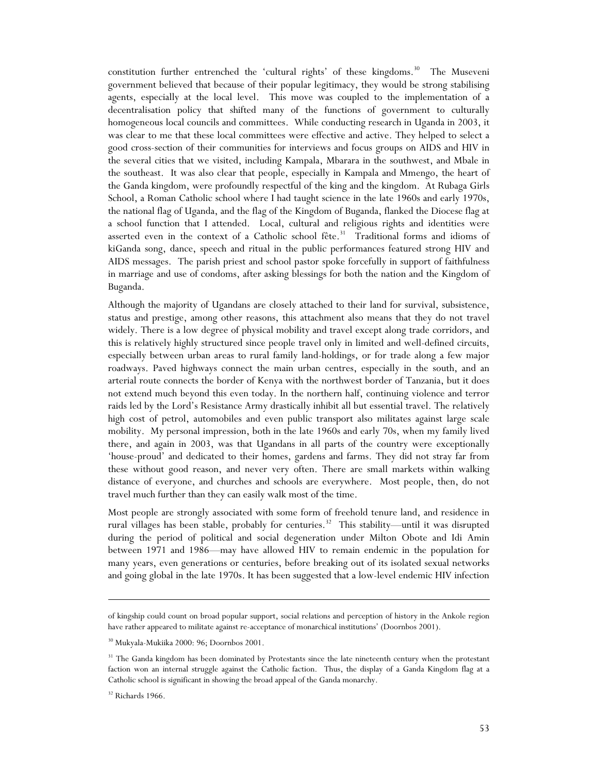constitution further entrenched the 'cultural rights' of these kingdoms.<sup>30</sup> The Museveni government believed that because of their popular legitimacy, they would be strong stabilising agents, especially at the local level. This move was coupled to the implementation of a decentralisation policy that shifted many of the functions of government to culturally homogeneous local councils and committees. While conducting research in Uganda in 2003, it was clear to me that these local committees were effective and active. They helped to select a good cross-section of their communities for interviews and focus groups on AIDS and HIV in the several cities that we visited, including Kampala, Mbarara in the southwest, and Mbale in the southeast. It was also clear that people, especially in Kampala and Mmengo, the heart of the Ganda kingdom, were profoundly respectful of the king and the kingdom. At Rubaga Girls School, a Roman Catholic school where I had taught science in the late 1960s and early 1970s, the national flag of Uganda, and the flag of the Kingdom of Buganda, flanked the Diocese flag at a school function that I attended. Local, cultural and religious rights and identities were asserted even in the context of a Catholic school fête.<sup>31</sup> Traditional forms and idioms of kiGanda song, dance, speech and ritual in the public performances featured strong HIV and AIDS messages. The parish priest and school pastor spoke forcefully in support of faithfulness in marriage and use of condoms, after asking blessings for both the nation and the Kingdom of Buganda.

Although the majority of Ugandans are closely attached to their land for survival, subsistence, status and prestige, among other reasons, this attachment also means that they do not travel widely. There is a low degree of physical mobility and travel except along trade corridors, and this is relatively highly structured since people travel only in limited and well-defined circuits, especially between urban areas to rural family land-holdings, or for trade along a few major roadways. Paved highways connect the main urban centres, especially in the south, and an arterial route connects the border of Kenya with the northwest border of Tanzania, but it does not extend much beyond this even today. In the northern half, continuing violence and terror raids led by the Lord's Resistance Army drastically inhibit all but essential travel. The relatively high cost of petrol, automobiles and even public transport also militates against large scale mobility. My personal impression, both in the late 1960s and early 70s, when my family lived there, and again in 2003, was that Ugandans in all parts of the country were exceptionally 'house-proud' and dedicated to their homes, gardens and farms. They did not stray far from these without good reason, and never very often. There are small markets within walking distance of everyone, and churches and schools are everywhere. Most people, then, do not travel much further than they can easily walk most of the time.

Most people are strongly associated with some form of freehold tenure land, and residence in rural villages has been stable, probably for centuries.<sup>32</sup> This stability—until it was disrupted during the period of political and social degeneration under Milton Obote and Idi Amin between 1971 and 1986—may have allowed HIV to remain endemic in the population for many years, even generations or centuries, before breaking out of its isolated sexual networks and going global in the late 1970s. It has been suggested that a low-level endemic HIV infection

of kingship could count on broad popular support, social relations and perception of history in the Ankole region have rather appeared to militate against re-acceptance of monarchical institutions' (Doornbos 2001).

<sup>30</sup> Mukyala-Mukiika 2000: 96; Doornbos 2001.

<sup>&</sup>lt;sup>31</sup> The Ganda kingdom has been dominated by Protestants since the late nineteenth century when the protestant faction won an internal struggle against the Catholic faction. Thus, the display of a Ganda Kingdom flag at a Catholic school is significant in showing the broad appeal of the Ganda monarchy.

<sup>&</sup>lt;sup>32</sup> Richards 1966.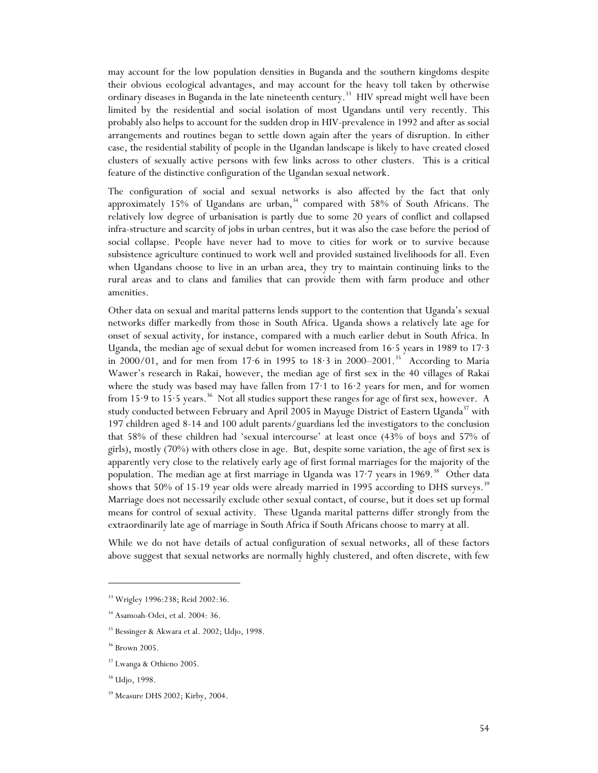may account for the low population densities in Buganda and the southern kingdoms despite their obvious ecological advantages, and may account for the heavy toll taken by otherwise ordinary diseases in Buganda in the late nineteenth century.<sup>33</sup> HIV spread might well have been limited by the residential and social isolation of most Ugandans until very recently. This probably also helps to account for the sudden drop in HIV-prevalence in 1992 and after as social arrangements and routines began to settle down again after the years of disruption. In either case, the residential stability of people in the Ugandan landscape is likely to have created closed clusters of sexually active persons with few links across to other clusters. This is a critical feature of the distinctive configuration of the Ugandan sexual network.

The configuration of social and sexual networks is also affected by the fact that only approximately 15% of Ugandans are urban, $34$  compared with 58% of South Africans. The relatively low degree of urbanisation is partly due to some 20 years of conflict and collapsed infra-structure and scarcity of jobs in urban centres, but it was also the case before the period of social collapse. People have never had to move to cities for work or to survive because subsistence agriculture continued to work well and provided sustained livelihoods for all. Even when Ugandans choose to live in an urban area, they try to maintain continuing links to the rural areas and to clans and families that can provide them with farm produce and other amenities.

Other data on sexual and marital patterns lends support to the contention that Uganda's sexual networks differ markedly from those in South Africa. Uganda shows a relatively late age for onset of sexual activity, for instance, compared with a much earlier debut in South Africa. In Uganda, the median age of sexual debut for women increased from 16·5 years in 1989 to 17·3 in 2000/01, and for men from  $17.6$  in 1995 to  $18.3$  in 2000–2001.<sup>35</sup> According to Maria Wawer's research in Rakai, however, the median age of first sex in the 40 villages of Rakai where the study was based may have fallen from 17·1 to 16·2 years for men, and for women from 15.9 to 15.5 years.<sup>36</sup> Not all studies support these ranges for age of first sex, however. A study conducted between February and April 2005 in Mayuge District of Eastern Uganda<sup>37</sup> with 197 children aged 8-14 and 100 adult parents/guardians led the investigators to the conclusion that 58% of these children had 'sexual intercourse' at least once (43% of boys and 57% of girls), mostly (70%) with others close in age. But, despite some variation, the age of first sex is apparently very close to the relatively early age of first formal marriages for the majority of the population. The median age at first marriage in Uganda was 17<sup>-7</sup> years in 1969.<sup>38</sup> Other data shows that 50% of 15-19 year olds were already married in 1995 according to DHS surveys.<sup>39</sup> Marriage does not necessarily exclude other sexual contact, of course, but it does set up formal means for control of sexual activity. These Uganda marital patterns differ strongly from the extraordinarily late age of marriage in South Africa if South Africans choose to marry at all.

While we do not have details of actual configuration of sexual networks, all of these factors above suggest that sexual networks are normally highly clustered, and often discrete, with few

<sup>33</sup> Wrigley 1996:238; Reid 2002:36.

<sup>&</sup>lt;sup>34</sup> Asamoah-Odei, et al. 2004: 36.

<sup>&</sup>lt;sup>35</sup> Bessinger & Akwara et al. 2002; Udjo, 1998.

<sup>36</sup> Brown 2005.

<sup>37</sup> Lwanga & Othieno 2005.

<sup>38</sup> Udjo, 1998.

<sup>39</sup> Measure DHS 2002; Kirby, 2004.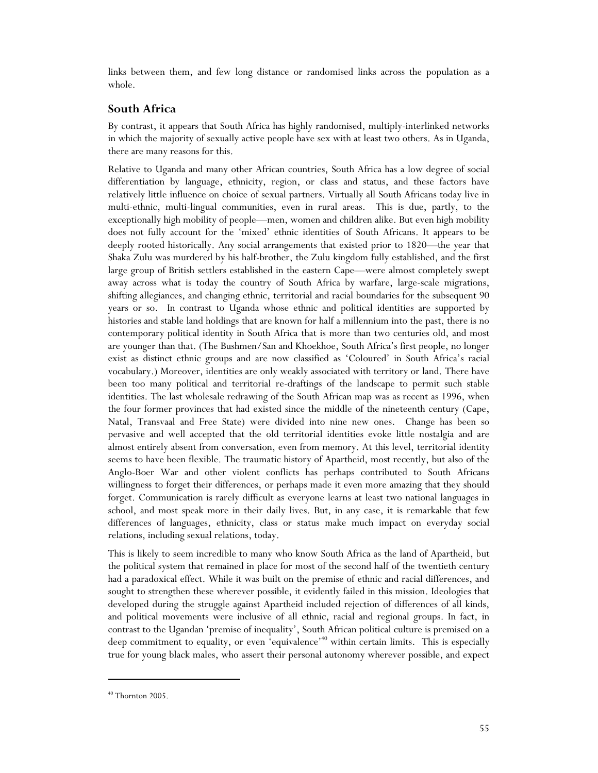links between them, and few long distance or randomised links across the population as a whole.

#### **South Africa**

By contrast, it appears that South Africa has highly randomised, multiply-interlinked networks in which the majority of sexually active people have sex with at least two others. As in Uganda, there are many reasons for this.

Relative to Uganda and many other African countries, South Africa has a low degree of social differentiation by language, ethnicity, region, or class and status, and these factors have relatively little influence on choice of sexual partners. Virtually all South Africans today live in multi-ethnic, multi-lingual communities, even in rural areas. This is due, partly, to the exceptionally high mobility of people—men, women and children alike. But even high mobility does not fully account for the 'mixed' ethnic identities of South Africans. It appears to be deeply rooted historically. Any social arrangements that existed prior to 1820—the year that Shaka Zulu was murdered by his half-brother, the Zulu kingdom fully established, and the first large group of British settlers established in the eastern Cape—were almost completely swept away across what is today the country of South Africa by warfare, large-scale migrations, shifting allegiances, and changing ethnic, territorial and racial boundaries for the subsequent 90 years or so. In contrast to Uganda whose ethnic and political identities are supported by histories and stable land holdings that are known for half a millennium into the past, there is no contemporary political identity in South Africa that is more than two centuries old, and most are younger than that. (The Bushmen/San and Khoekhoe, South Africa's first people, no longer exist as distinct ethnic groups and are now classified as 'Coloured' in South Africa's racial vocabulary.) Moreover, identities are only weakly associated with territory or land. There have been too many political and territorial re-draftings of the landscape to permit such stable identities. The last wholesale redrawing of the South African map was as recent as 1996, when the four former provinces that had existed since the middle of the nineteenth century (Cape, Natal, Transvaal and Free State) were divided into nine new ones. Change has been so pervasive and well accepted that the old territorial identities evoke little nostalgia and are almost entirely absent from conversation, even from memory. At this level, territorial identity seems to have been flexible. The traumatic history of Apartheid, most recently, but also of the Anglo-Boer War and other violent conflicts has perhaps contributed to South Africans willingness to forget their differences, or perhaps made it even more amazing that they should forget. Communication is rarely difficult as everyone learns at least two national languages in school, and most speak more in their daily lives. But, in any case, it is remarkable that few differences of languages, ethnicity, class or status make much impact on everyday social relations, including sexual relations, today.

This is likely to seem incredible to many who know South Africa as the land of Apartheid, but the political system that remained in place for most of the second half of the twentieth century had a paradoxical effect. While it was built on the premise of ethnic and racial differences, and sought to strengthen these wherever possible, it evidently failed in this mission. Ideologies that developed during the struggle against Apartheid included rejection of differences of all kinds, and political movements were inclusive of all ethnic, racial and regional groups. In fact, in contrast to the Ugandan 'premise of inequality', South African political culture is premised on a deep commitment to equality, or even 'equivalence'<sup>40</sup> within certain limits. This is especially true for young black males, who assert their personal autonomy wherever possible, and expect

 $40$  Thornton 2005.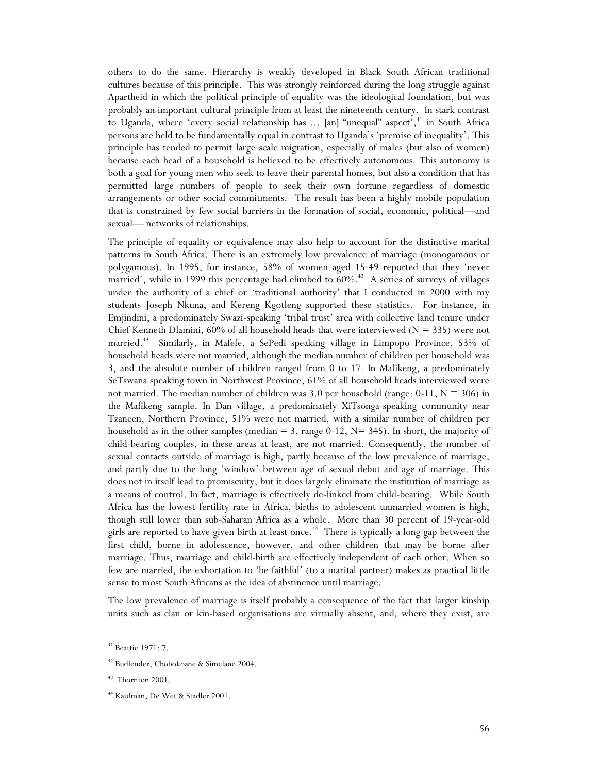others to do the same. Hierarchy is weakly developed in Black South African traditional cultures because of this principle. This was strongly reinforced during the long struggle against Apartheid in which the political principle of equality was the ideological foundation, but was probably an important cultural principle from at least the nineteenth century. In stark contrast to Uganda, where 'every social relationship has ... [an] "unequal" aspect',<sup>41</sup> in South Africa persons are held to be fundamentally equal in contrast to Uganda's 'premise of inequality'. This principle has tended to permit large scale migration, especially of males (but also of women) because each head of a household is believed to be effectively autonomous. This autonomy is both a goal for young men who seek to leave their parental homes, but also a condition that has permitted large numbers of people to seek their own fortune regardless of domestic arrangements or other social commitments. The result has been a highly mobile population that is constrained by few social barriers in the formation of social, economic, political—and sexual— networks of relationships.

The principle of equality or equivalence may also help to account for the distinctive marital patterns in South Africa. There is an extremely low prevalence of marriage (monogamous or polygamous). In 1995, for instance, 58% of women aged 15-49 reported that they 'never married', while in 1999 this percentage had climbed to  $60\%$ .<sup>42</sup> A series of surveys of villages under the authority of a chief or 'traditional authority' that I conducted in 2000 with my students Joseph Nkuna, and Kereng Kgotleng supported these statistics. For instance, in Emjindini, a predominately Swazi-speaking 'tribal trust' area with collective land tenure under Chief Kenneth Dlamini, 60% of all household heads that were interviewed ( $N = 335$ ) were not married.<sup>43</sup> Similarly, in Mafefe, a SePedi speaking village in Limpopo Province, 53% of household heads were not married, although the median number of children per household was 3, and the absolute number of children ranged from 0 to 17. In Mafikeng, a predominately SeTswana speaking town in Northwest Province, 61% of all household heads interviewed were not married. The median number of children was 3.0 per household (range:  $0-11$ ,  $N = 306$ ) in the Mafikeng sample. In Dan village, a predominately XiTsonga-speaking community near Tzaneen, Northern Province, 51% were not married, with a similar number of children per household as in the other samples (median  $=$  3, range 0-12,  $N=$  345). In short, the majority of child-bearing couples, in these areas at least, are not married. Consequently, the number of sexual contacts outside of marriage is high, partly because of the low prevalence of marriage, and partly due to the long 'window' between age of sexual debut and age of marriage. This does not in itself lead to promiscuity, but it does largely eliminate the institution of marriage as a means of control. In fact, marriage is effectively de-linked from child-bearing. While South Africa has the lowest fertility rate in Africa, births to adolescent unmarried women is high, though still lower than sub-Saharan Africa as a whole. More than 30 percent of 19-year-old girls are reported to have given birth at least once.<sup>44</sup> There is typically a long gap between the first child, borne in adolescence, however, and other children that may be borne after marriage. Thus, marriage and child-birth are effectively independent of each other. When so few are married, the exhortation to 'be faithful' (to a marital partner) makes as practical little sense to most South Africans as the idea of abstinence until marriage.

The low prevalence of marriage is itself probably a consequence of the fact that larger kinship units such as clan or kin-based organisations are virtually absent, and, where they exist, are

<sup>41</sup> Beattie 1971: 7.

<sup>42</sup> Budlender, Chobokoane & Simelane 2004.

 $^\mathrm{43}$  Thornton 2001.

<sup>44</sup> Kaufman, De Wet & Stadler 2001.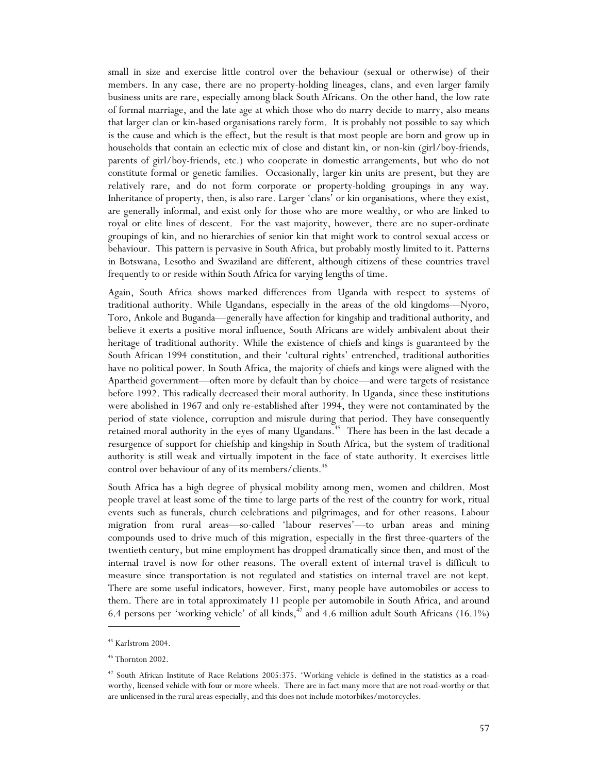small in size and exercise little control over the behaviour (sexual or otherwise) of their members. In any case, there are no property-holding lineages, clans, and even larger family business units are rare, especially among black South Africans. On the other hand, the low rate of formal marriage, and the late age at which those who do marry decide to marry, also means that larger clan or kin-based organisations rarely form. It is probably not possible to say which is the cause and which is the effect, but the result is that most people are born and grow up in households that contain an eclectic mix of close and distant kin, or non-kin (girl/boy-friends, parents of girl/boy-friends, etc.) who cooperate in domestic arrangements, but who do not constitute formal or genetic families. Occasionally, larger kin units are present, but they are relatively rare, and do not form corporate or property-holding groupings in any way. Inheritance of property, then, is also rare. Larger 'clans' or kin organisations, where they exist, are generally informal, and exist only for those who are more wealthy, or who are linked to royal or elite lines of descent. For the vast majority, however, there are no super-ordinate groupings of kin, and no hierarchies of senior kin that might work to control sexual access or behaviour. This pattern is pervasive in South Africa, but probably mostly limited to it. Patterns in Botswana, Lesotho and Swaziland are different, although citizens of these countries travel frequently to or reside within South Africa for varying lengths of time.

Again, South Africa shows marked differences from Uganda with respect to systems of traditional authority. While Ugandans, especially in the areas of the old kingdoms—Nyoro, Toro, Ankole and Buganda—generally have affection for kingship and traditional authority, and believe it exerts a positive moral influence, South Africans are widely ambivalent about their heritage of traditional authority. While the existence of chiefs and kings is guaranteed by the South African 1994 constitution, and their 'cultural rights' entrenched, traditional authorities have no political power. In South Africa, the majority of chiefs and kings were aligned with the Apartheid government—often more by default than by choice—and were targets of resistance before 1992. This radically decreased their moral authority. In Uganda, since these institutions were abolished in 1967 and only re-established after 1994, they were not contaminated by the period of state violence, corruption and misrule during that period. They have consequently retained moral authority in the eyes of many Ugandans.<sup>45</sup> There has been in the last decade a resurgence of support for chiefship and kingship in South Africa, but the system of traditional authority is still weak and virtually impotent in the face of state authority. It exercises little control over behaviour of any of its members/clients.<sup>46</sup>

South Africa has a high degree of physical mobility among men, women and children. Most people travel at least some of the time to large parts of the rest of the country for work, ritual events such as funerals, church celebrations and pilgrimages, and for other reasons. Labour migration from rural areas—so-called 'labour reserves'—to urban areas and mining compounds used to drive much of this migration, especially in the first three-quarters of the twentieth century, but mine employment has dropped dramatically since then, and most of the internal travel is now for other reasons. The overall extent of internal travel is difficult to measure since transportation is not regulated and statistics on internal travel are not kept. There are some useful indicators, however. First, many people have automobiles or access to them. There are in total approximately 11 people per automobile in South Africa, and around 6.4 persons per 'working vehicle' of all kinds, $47$  and 4.6 million adult South Africans (16.1%)

<sup>45</sup> Karlstrom 2004.

 $\,$   $^{46}$  Thornton 2002.

<sup>47</sup> South African Institute of Race Relations 2005:375. 'Working vehicle is defined in the statistics as a roadworthy, licensed vehicle with four or more wheels. There are in fact many more that are not road-worthy or that are unlicensed in the rural areas especially, and this does not include motorbikes/motorcycles.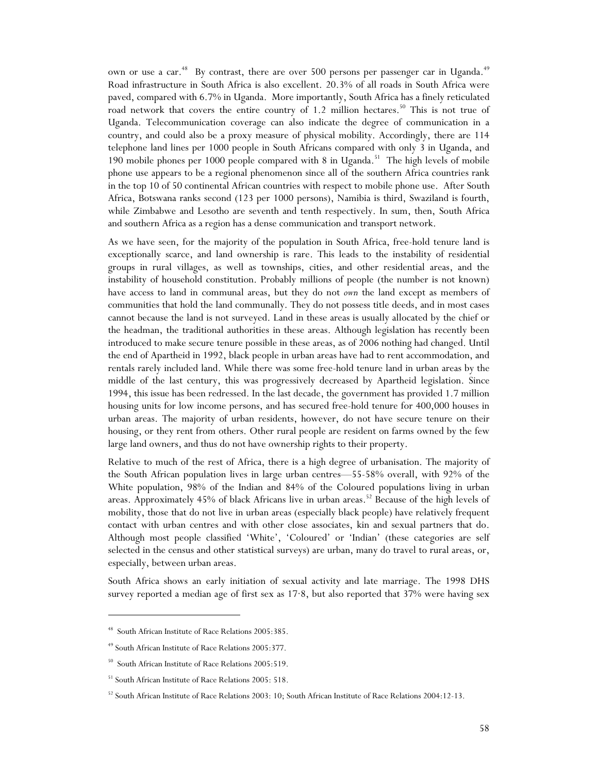own or use a car.<sup>48</sup> By contrast, there are over 500 persons per passenger car in Uganda.<sup>49</sup> Road infrastructure in South Africa is also excellent. 20.3% of all roads in South Africa were paved, compared with 6.7% in Uganda. More importantly, South Africa has a finely reticulated road network that covers the entire country of 1.2 million hectares.<sup>50</sup> This is not true of Uganda. Telecommunication coverage can also indicate the degree of communication in a country, and could also be a proxy measure of physical mobility. Accordingly, there are 114 telephone land lines per 1000 people in South Africans compared with only 3 in Uganda, and 190 mobile phones per 1000 people compared with 8 in Uganda.<sup>51</sup> The high levels of mobile phone use appears to be a regional phenomenon since all of the southern Africa countries rank in the top 10 of 50 continental African countries with respect to mobile phone use. After South Africa, Botswana ranks second (123 per 1000 persons), Namibia is third, Swaziland is fourth, while Zimbabwe and Lesotho are seventh and tenth respectively. In sum, then, South Africa and southern Africa as a region has a dense communication and transport network.

As we have seen, for the majority of the population in South Africa, free-hold tenure land is exceptionally scarce, and land ownership is rare. This leads to the instability of residential groups in rural villages, as well as townships, cities, and other residential areas, and the instability of household constitution. Probably millions of people (the number is not known) have access to land in communal areas, but they do not *own* the land except as members of communities that hold the land communally. They do not possess title deeds, and in most cases cannot because the land is not surveyed. Land in these areas is usually allocated by the chief or the headman, the traditional authorities in these areas. Although legislation has recently been introduced to make secure tenure possible in these areas, as of 2006 nothing had changed. Until the end of Apartheid in 1992, black people in urban areas have had to rent accommodation, and rentals rarely included land. While there was some free-hold tenure land in urban areas by the middle of the last century, this was progressively decreased by Apartheid legislation. Since 1994, this issue has been redressed. In the last decade, the government has provided 1.7 million housing units for low income persons, and has secured free-hold tenure for 400,000 houses in urban areas. The majority of urban residents, however, do not have secure tenure on their housing, or they rent from others. Other rural people are resident on farms owned by the few large land owners, and thus do not have ownership rights to their property.

Relative to much of the rest of Africa, there is a high degree of urbanisation. The majority of the South African population lives in large urban centres—55-58% overall, with 92% of the White population, 98% of the Indian and 84% of the Coloured populations living in urban areas. Approximately  $45\%$  of black Africans live in urban areas.<sup>52</sup> Because of the high levels of mobility, those that do not live in urban areas (especially black people) have relatively frequent contact with urban centres and with other close associates, kin and sexual partners that do. Although most people classified 'White', 'Coloured' or 'Indian' (these categories are self selected in the census and other statistical surveys) are urban, many do travel to rural areas, or, especially, between urban areas.

South Africa shows an early initiation of sexual activity and late marriage. The 1998 DHS survey reported a median age of first sex as 17·8, but also reported that 37% were having sex

<sup>48</sup> South African Institute of Race Relations 2005:385.

<sup>49</sup> South African Institute of Race Relations 2005:377.

<sup>50</sup> South African Institute of Race Relations 2005:519.

<sup>51</sup> South African Institute of Race Relations 2005: 518.

<sup>&</sup>lt;sup>52</sup> South African Institute of Race Relations 2003: 10; South African Institute of Race Relations 2004:12-13.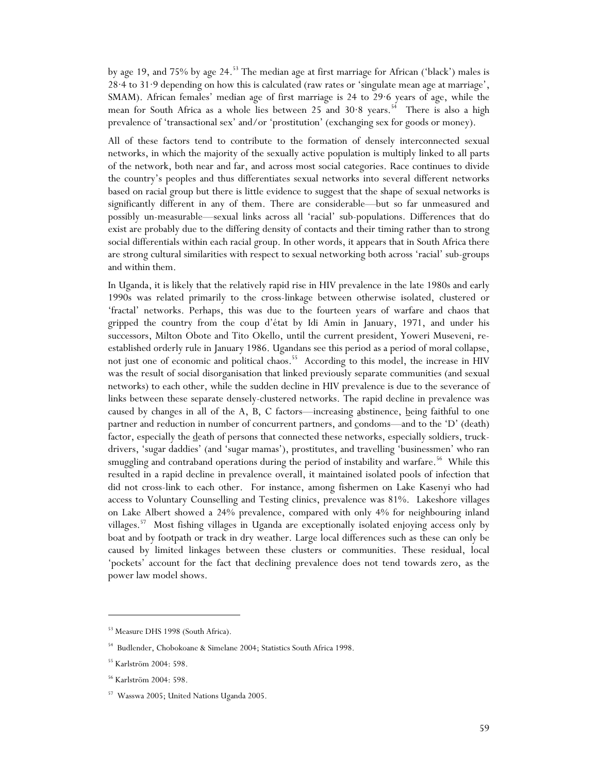by age 19, and 75% by age 24.<sup>53</sup> The median age at first marriage for African ('black') males is 28·4 to 31·9 depending on how this is calculated (raw rates or 'singulate mean age at marriage', SMAM). African females' median age of first marriage is 24 to 29·6 years of age, while the mean for South Africa as a whole lies between 25 and  $30.8$  years.<sup>54</sup> There is also a high prevalence of 'transactional sex' and/or 'prostitution' (exchanging sex for goods or money).

All of these factors tend to contribute to the formation of densely interconnected sexual networks, in which the majority of the sexually active population is multiply linked to all parts of the network, both near and far, and across most social categories. Race continues to divide the country's peoples and thus differentiates sexual networks into several different networks based on racial group but there is little evidence to suggest that the shape of sexual networks is significantly different in any of them. There are considerable—but so far unmeasured and possibly un-measurable—sexual links across all 'racial' sub-populations. Differences that do exist are probably due to the differing density of contacts and their timing rather than to strong social differentials within each racial group. In other words, it appears that in South Africa there are strong cultural similarities with respect to sexual networking both across 'racial' sub-groups and within them.

In Uganda, it is likely that the relatively rapid rise in HIV prevalence in the late 1980s and early 1990s was related primarily to the cross-linkage between otherwise isolated, clustered or 'fractal' networks. Perhaps, this was due to the fourteen years of warfare and chaos that gripped the country from the coup d'état by Idi Amin in January, 1971, and under his successors, Milton Obote and Tito Okello, until the current president, Yoweri Museveni, reestablished orderly rule in January 1986. Ugandans see this period as a period of moral collapse, not just one of economic and political chaos.<sup>55</sup> According to this model, the increase in HIV was the result of social disorganisation that linked previously separate communities (and sexual networks) to each other, while the sudden decline in HIV prevalence is due to the severance of links between these separate densely-clustered networks. The rapid decline in prevalence was caused by changes in all of the A, B, C factors—increasing abstinence, being faithful to one partner and reduction in number of concurrent partners, and condoms—and to the 'D' (death) factor, especially the death of persons that connected these networks, especially soldiers, truckdrivers, 'sugar daddies' (and 'sugar mamas'), prostitutes, and travelling 'businessmen' who ran smuggling and contraband operations during the period of instability and warfare.<sup>56</sup> While this resulted in a rapid decline in prevalence overall, it maintained isolated pools of infection that did not cross-link to each other. For instance, among fishermen on Lake Kasenyi who had access to Voluntary Counselling and Testing clinics, prevalence was 81%. Lakeshore villages on Lake Albert showed a 24% prevalence, compared with only 4% for neighbouring inland villages.57 Most fishing villages in Uganda are exceptionally isolated enjoying access only by boat and by footpath or track in dry weather. Large local differences such as these can only be caused by limited linkages between these clusters or communities. These residual, local 'pockets' account for the fact that declining prevalence does not tend towards zero, as the power law model shows.

<sup>53</sup> Measure DHS 1998 (South Africa).

<sup>54</sup> Budlender, Chobokoane & Simelane 2004; Statistics South Africa 1998.

<sup>55</sup> Karlström 2004: 598.

<sup>56</sup> Karlström 2004: 598.

<sup>57</sup> Wasswa 2005; United Nations Uganda 2005.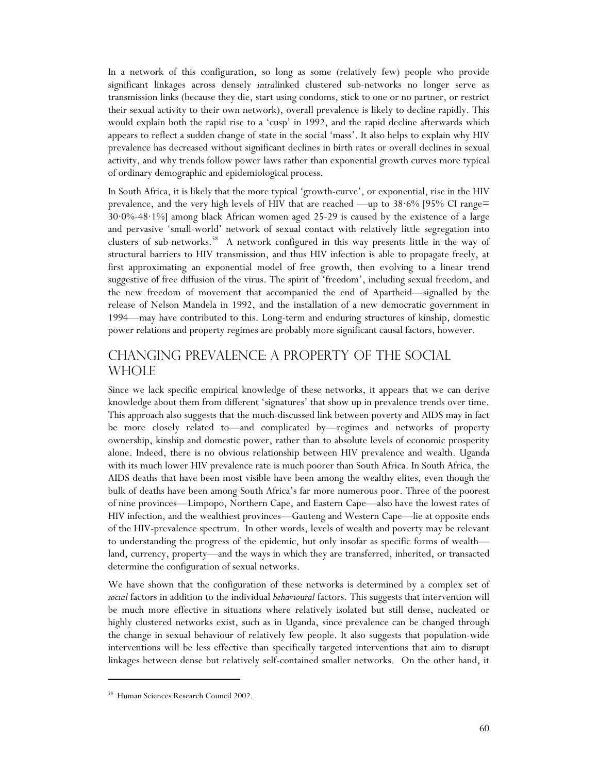In a network of this configuration, so long as some (relatively few) people who provide significant linkages across densely *intra*linked clustered sub-networks no longer serve as transmission links (because they die, start using condoms, stick to one or no partner, or restrict their sexual activity to their own network), overall prevalence is likely to decline rapidly. This would explain both the rapid rise to a 'cusp' in 1992, and the rapid decline afterwards which appears to reflect a sudden change of state in the social 'mass'. It also helps to explain why HIV prevalence has decreased without significant declines in birth rates or overall declines in sexual activity, and why trends follow power laws rather than exponential growth curves more typical of ordinary demographic and epidemiological process.

In South Africa, it is likely that the more typical 'growth-curve', or exponential, rise in the HIV prevalence, and the very high levels of HIV that are reached —up to 38·6% [95% CI range= 30·0%-48·1%] among black African women aged 25-29 is caused by the existence of a large and pervasive 'small-world' network of sexual contact with relatively little segregation into clusters of sub-networks.58 A network configured in this way presents little in the way of structural barriers to HIV transmission, and thus HIV infection is able to propagate freely, at first approximating an exponential model of free growth, then evolving to a linear trend suggestive of free diffusion of the virus. The spirit of 'freedom', including sexual freedom, and the new freedom of movement that accompanied the end of Apartheid—signalled by the release of Nelson Mandela in 1992, and the installation of a new democratic government in 1994—may have contributed to this. Long-term and enduring structures of kinship, domestic power relations and property regimes are probably more significant causal factors, however.

## Changing prevalence: a property of the social whole

Since we lack specific empirical knowledge of these networks, it appears that we can derive knowledge about them from different 'signatures' that show up in prevalence trends over time. This approach also suggests that the much-discussed link between poverty and AIDS may in fact be more closely related to—and complicated by—regimes and networks of property ownership, kinship and domestic power, rather than to absolute levels of economic prosperity alone. Indeed, there is no obvious relationship between HIV prevalence and wealth. Uganda with its much lower HIV prevalence rate is much poorer than South Africa. In South Africa, the AIDS deaths that have been most visible have been among the wealthy elites, even though the bulk of deaths have been among South Africa's far more numerous poor. Three of the poorest of nine provinces—Limpopo, Northern Cape, and Eastern Cape—also have the lowest rates of HIV infection, and the wealthiest provinces—Gauteng and Western Cape—lie at opposite ends of the HIV-prevalence spectrum. In other words, levels of wealth and poverty may be relevant to understanding the progress of the epidemic, but only insofar as specific forms of wealth land, currency, property—and the ways in which they are transferred, inherited, or transacted determine the configuration of sexual networks.

We have shown that the configuration of these networks is determined by a complex set of *social* factors in addition to the individual *behavioural* factors. This suggests that intervention will be much more effective in situations where relatively isolated but still dense, nucleated or highly clustered networks exist, such as in Uganda, since prevalence can be changed through the change in sexual behaviour of relatively few people. It also suggests that population-wide interventions will be less effective than specifically targeted interventions that aim to disrupt linkages between dense but relatively self-contained smaller networks. On the other hand, it

<sup>58</sup> Human Sciences Research Council 2002.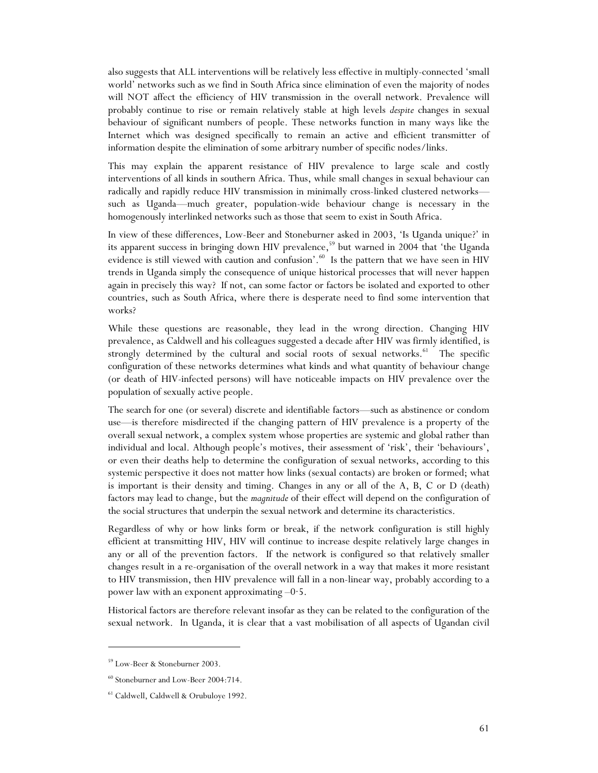also suggests that ALL interventions will be relatively less effective in multiply-connected 'small world' networks such as we find in South Africa since elimination of even the majority of nodes will NOT affect the efficiency of HIV transmission in the overall network. Prevalence will probably continue to rise or remain relatively stable at high levels *despite* changes in sexual behaviour of significant numbers of people. These networks function in many ways like the Internet which was designed specifically to remain an active and efficient transmitter of information despite the elimination of some arbitrary number of specific nodes/links.

This may explain the apparent resistance of HIV prevalence to large scale and costly interventions of all kinds in southern Africa. Thus, while small changes in sexual behaviour can radically and rapidly reduce HIV transmission in minimally cross-linked clustered networks such as Uganda—much greater, population-wide behaviour change is necessary in the homogenously interlinked networks such as those that seem to exist in South Africa.

In view of these differences, Low-Beer and Stoneburner asked in 2003, 'Is Uganda unique?' in its apparent success in bringing down HIV prevalence,<sup>59</sup> but warned in 2004 that 'the Uganda evidence is still viewed with caution and confusion'.<sup>60</sup> Is the pattern that we have seen in HIV trends in Uganda simply the consequence of unique historical processes that will never happen again in precisely this way? If not, can some factor or factors be isolated and exported to other countries, such as South Africa, where there is desperate need to find some intervention that works?

While these questions are reasonable, they lead in the wrong direction. Changing HIV prevalence, as Caldwell and his colleagues suggested a decade after HIV was firmly identified, is strongly determined by the cultural and social roots of sexual networks.<sup>61</sup> The specific configuration of these networks determines what kinds and what quantity of behaviour change (or death of HIV-infected persons) will have noticeable impacts on HIV prevalence over the population of sexually active people.

The search for one (or several) discrete and identifiable factors—such as abstinence or condom use—is therefore misdirected if the changing pattern of HIV prevalence is a property of the overall sexual network, a complex system whose properties are systemic and global rather than individual and local. Although people's motives, their assessment of 'risk', their 'behaviours', or even their deaths help to determine the configuration of sexual networks, according to this systemic perspective it does not matter how links (sexual contacts) are broken or formed; what is important is their density and timing. Changes in any or all of the A, B, C or D (death) factors may lead to change, but the *magnitude* of their effect will depend on the configuration of the social structures that underpin the sexual network and determine its characteristics.

Regardless of why or how links form or break, if the network configuration is still highly efficient at transmitting HIV, HIV will continue to increase despite relatively large changes in any or all of the prevention factors. If the network is configured so that relatively smaller changes result in a re-organisation of the overall network in a way that makes it more resistant to HIV transmission, then HIV prevalence will fall in a non-linear way, probably according to a power law with an exponent approximating  $-0.5$ .

Historical factors are therefore relevant insofar as they can be related to the configuration of the sexual network. In Uganda, it is clear that a vast mobilisation of all aspects of Ugandan civil

<sup>59</sup> Low-Beer & Stoneburner 2003.

<sup>60</sup> Stoneburner and Low-Beer 2004:714.

<sup>61</sup> Caldwell, Caldwell & Orubuloye 1992.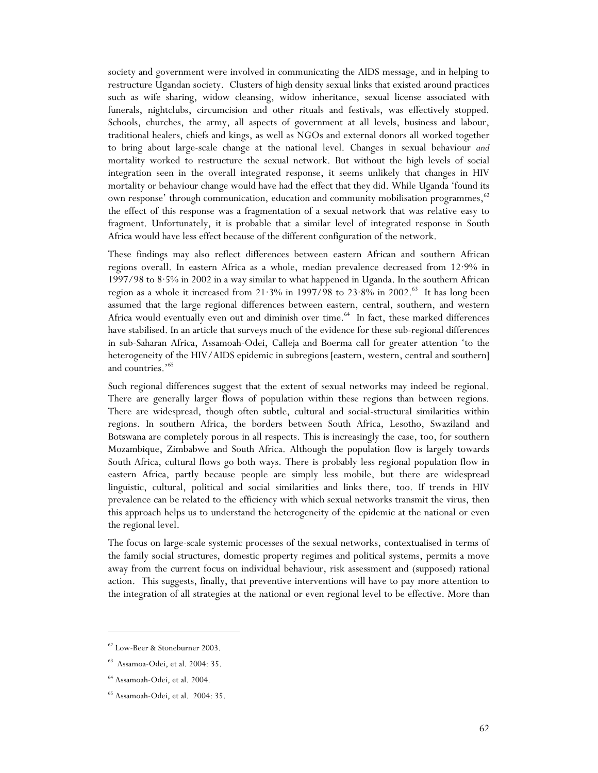society and government were involved in communicating the AIDS message, and in helping to restructure Ugandan society. Clusters of high density sexual links that existed around practices such as wife sharing, widow cleansing, widow inheritance, sexual license associated with funerals, nightclubs, circumcision and other rituals and festivals, was effectively stopped. Schools, churches, the army, all aspects of government at all levels, business and labour, traditional healers, chiefs and kings, as well as NGOs and external donors all worked together to bring about large-scale change at the national level. Changes in sexual behaviour *and* mortality worked to restructure the sexual network. But without the high levels of social integration seen in the overall integrated response, it seems unlikely that changes in HIV mortality or behaviour change would have had the effect that they did. While Uganda 'found its own response' through communication, education and community mobilisation programmes, $62$ the effect of this response was a fragmentation of a sexual network that was relative easy to fragment. Unfortunately, it is probable that a similar level of integrated response in South Africa would have less effect because of the different configuration of the network.

These findings may also reflect differences between eastern African and southern African regions overall. In eastern Africa as a whole, median prevalence decreased from 12·9% in 1997/98 to 8·5% in 2002 in a way similar to what happened in Uganda. In the southern African region as a whole it increased from  $21.3\%$  in 1997/98 to  $23.8\%$  in 2002.<sup>63</sup> It has long been assumed that the large regional differences between eastern, central, southern, and western Africa would eventually even out and diminish over time.<sup>64</sup> In fact, these marked differences have stabilised. In an article that surveys much of the evidence for these sub-regional differences in sub-Saharan Africa, Assamoah-Odei, Calleja and Boerma call for greater attention 'to the heterogeneity of the HIV/AIDS epidemic in subregions [eastern, western, central and southern] and countries.'<sup>65</sup>

Such regional differences suggest that the extent of sexual networks may indeed be regional. There are generally larger flows of population within these regions than between regions. There are widespread, though often subtle, cultural and social-structural similarities within regions. In southern Africa, the borders between South Africa, Lesotho, Swaziland and Botswana are completely porous in all respects. This is increasingly the case, too, for southern Mozambique, Zimbabwe and South Africa. Although the population flow is largely towards South Africa, cultural flows go both ways. There is probably less regional population flow in eastern Africa, partly because people are simply less mobile, but there are widespread linguistic, cultural, political and social similarities and links there, too. If trends in HIV prevalence can be related to the efficiency with which sexual networks transmit the virus, then this approach helps us to understand the heterogeneity of the epidemic at the national or even the regional level.

The focus on large-scale systemic processes of the sexual networks, contextualised in terms of the family social structures, domestic property regimes and political systems, permits a move away from the current focus on individual behaviour, risk assessment and (supposed) rational action. This suggests, finally, that preventive interventions will have to pay more attention to the integration of all strategies at the national or even regional level to be effective. More than

<sup>62</sup> Low-Beer & Stoneburner 2003.

<sup>63</sup> Assamoa-Odei, et al. 2004: 35.

<sup>64</sup> Assamoah-Odei, et al. 2004.

<sup>65</sup> Assamoah-Odei, et al. 2004: 35.